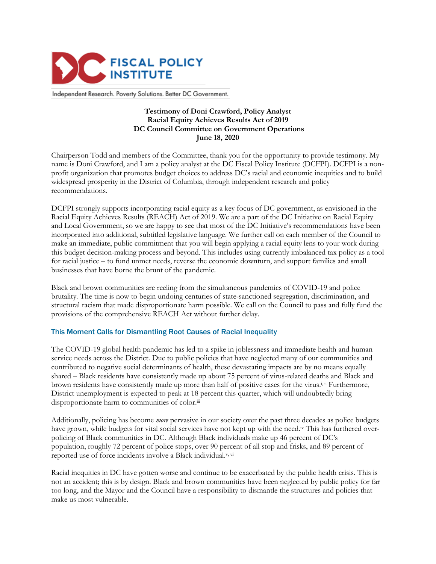

Independent Research. Poverty Solutions. Better DC Government.

## **Testimony of Doni Crawford, Policy Analyst Racial Equity Achieves Results Act of 2019 DC Council Committee on Government Operations June 18, 2020**

Chairperson Todd and members of the Committee, thank you for the opportunity to provide testimony. My name is Doni Crawford, and I am a policy analyst at the DC Fiscal Policy Institute (DCFPI). DCFPI is a nonprofit organization that promotes budget choices to address DC's racial and economic inequities and to build widespread prosperity in the District of Columbia, through independent research and policy recommendations.

DCFPI strongly supports incorporating racial equity as a key focus of DC government, as envisioned in the Racial Equity Achieves Results (REACH) Act of 2019. We are a part of the DC Initiative on Racial Equity and Local Government, so we are happy to see that most of the DC Initiative's recommendations have been incorporated into additional, subtitled legislative language. We further call on each member of the Council to make an immediate, public commitment that you will begin applying a racial equity lens to your work during this budget decision-making process and beyond. This includes using currently imbalanced tax policy as a tool for racial justice – to fund unmet needs, reverse the economic downturn, and support families and small businesses that have borne the brunt of the pandemic.

Black and brown communities are reeling from the simultaneous pandemics of COVID-19 and police brutality. The time is now to begin undoing centuries of state-sanctioned segregation, discrimination, and structural racism that made disproportionate harm possible. We call on the Council to pass and fully fund the provisions of the comprehensive REACH Act without further delay.

## This Moment Calls for Dismantling Root Causes of Racial Inequality

The COVID-19 global health pandemic has led to a spike in joblessness and immediate health and human service needs across the District. Due to public policies that have neglected many of our communities and contributed to negative social determinants of health, these devastating impacts are by no means equally shared – Black residents have consistently made up about 75 percent of virus-related deaths and Black and brown residents have consistently made up more than half of positive cases for the virus.i, ii Furthermore, District unemployment is expected to peak at 18 percent this quarter, which will undoubtedly bring disproportionate harm to communities of color.<sup>iii</sup>

Additionally, policing has become *more* pervasive in our society over the past three decades as police budgets have grown, while budgets for vital social services have not kept up with the need.iv This has furthered overpolicing of Black communities in DC. Although Black individuals make up 46 percent of DC's population, roughly 72 percent of police stops, over 90 percent of all stop and frisks, and 89 percent of reported use of force incidents involve a Black individual.<sup>v, vi</sup>

Racial inequities in DC have gotten worse and continue to be exacerbated by the public health crisis. This is not an accident; this is by design. Black and brown communities have been neglected by public policy for far too long, and the Mayor and the Council have a responsibility to dismantle the structures and policies that make us most vulnerable.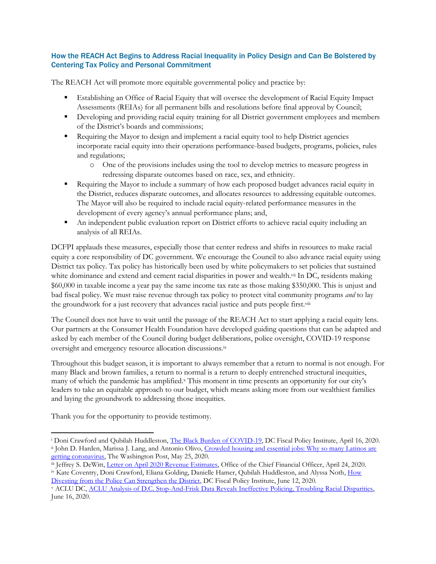## How the REACH Act Begins to Address Racial Inequality in Policy Design and Can Be Bolstered by Centering Tax Policy and Personal Commitment

The REACH Act will promote more equitable governmental policy and practice by:

- **Establishing an Office of Racial Equity that will oversee the development of Racial Equity Impact** Assessments (REIAs) for all permanent bills and resolutions before final approval by Council;
- **•** Developing and providing racial equity training for all District government employees and members of the District's boards and commissions;
- **•** Requiring the Mayor to design and implement a racial equity tool to help District agencies incorporate racial equity into their operations performance-based budgets, programs, policies, rules and regulations;
	- o One of the provisions includes using the tool to develop metrics to measure progress in redressing disparate outcomes based on race, sex, and ethnicity.
- Requiring the Mayor to include a summary of how each proposed budget advances racial equity in the District, reduces disparate outcomes, and allocates resources to addressing equitable outcomes. The Mayor will also be required to include racial equity-related performance measures in the development of every agency's annual performance plans; and,
- An independent public evaluation report on District efforts to achieve racial equity including an analysis of all REIAs.

DCFPI applauds these measures, especially those that center redress and shifts in resources to make racial equity a core responsibility of DC government. We encourage the Council to also advance racial equity using District tax policy. Tax policy has historically been used by white policymakers to set policies that sustained white dominance and extend and cement racial disparities in power and wealth.<sup>vii</sup> In DC, residents making \$60,000 in taxable income a year pay the same income tax rate as those making \$350,000. This is unjust and bad fiscal policy. We must raise revenue through tax policy to protect vital community programs *and* to lay the groundwork for a just recovery that advances racial justice and puts people first.<sup>viii</sup>

The Council does not have to wait until the passage of the REACH Act to start applying a racial equity lens. Our partners at the Consumer Health Foundation have developed guiding questions that can be adapted and asked by each member of the Council during budget deliberations, police oversight, COVID-19 response oversight and emergency resource allocation discussions.ix

Throughout this budget season, it is important to always remember that a return to normal is not enough. For many Black and brown families, a return to normal is a return to deeply entrenched structural inequities, many of which the pandemic has amplified.<sup>x</sup> This moment in time presents an opportunity for our city's leaders to take an equitable approach to our budget, which means asking more from our wealthiest families and laying the groundwork to addressing those inequities.

Thank you for the opportunity to provide testimony.

[Divesting from the Police Can Strengthen the District,](https://www.dcfpi.org/all/how-divesting-from-the-police-can-strengthen-the-district/) DC Fiscal Policy Institute, June 12, 2020.

<sup>&</sup>lt;sup>i</sup> Doni Crawford and Qubilah Huddleston, [The Black Burden of COVID-19,](https://www.dcfpi.org/all/the-black-burden-of-covid-19/) DC Fiscal Policy Institute, April 16, 2020. ii John D. Harden, Marissa J. Lang, and Antonio Olivo, Crowded housing and essential jobs: Why so many Latinos are [getting coronavirus,](https://www.washingtonpost.com/local/latinos-coronavirus/2020/05/25/6b5c882a-946e-11ea-82b4-c8db161ff6e5_story.html) The Washington Post, May 25, 2020.

iii Jeffrey S. DeWitt, [Letter on April 2020 Revenue Estimates,](https://cfo.dc.gov/sites/default/files/dc/sites/ocfo/publication/attachments/April%202020%20Revenue%20Estimate%20Letter%20042020_rev.pdf) Office of the Chief Financial Officer, April 24, 2020. iv Kate Coventry, Doni Crawford, Eliana Golding, Danielle Hamer, Qubilah Huddleston, and Alyssa Noth, [How](https://www.dcfpi.org/all/how-divesting-from-the-police-can-strengthen-the-district/) 

<sup>v</sup> ACLU DC, ACLU Analysis of D.C. Stop-And-Frisk [Data Reveals Ineffective Policing, Troubling Racial Disparities,](https://www.acludc.org/en/news/aclu-analysis-dc-stop-and-frisk-data-reveals-ineffective-policing-troubling-racial-disparities) June 16, 2020.